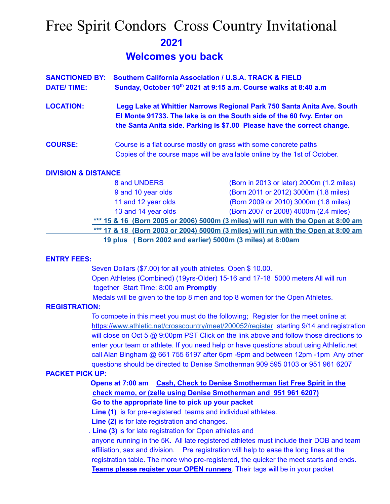# Free Spirit Condors Cross Country Invitational **2021**

# **Welcomes you back**

|                   | <b>SANCTIONED BY: Southern California Association / U.S.A. TRACK &amp; FIELD</b>                                                                |
|-------------------|-------------------------------------------------------------------------------------------------------------------------------------------------|
| <b>DATE/TIME:</b> | Sunday, October 10th 2021 at 9:15 a.m. Course walks at 8:40 a.m.                                                                                |
| <b>LOCATION:</b>  | Legg Lake at Whittier Narrows Regional Park 750 Santa Anita Ave. South<br>El Monte 91733. The lake is on the South side of the 60 fwy. Enter on |
|                   | the Santa Anita side. Parking is \$7.00 Please have the correct change.                                                                         |

**COURSE:** Course is a flat course mostly on grass with some concrete paths Copies of the course maps will be available online by the 1st of October.

### **DIVISION & DISTANCE**

| 8 and UNDERS                                              | (Born in 2013 or later) 2000m (1.2 miles)                                         |  |
|-----------------------------------------------------------|-----------------------------------------------------------------------------------|--|
| 9 and 10 year olds                                        | (Born 2011 or 2012) 3000m (1.8 miles)                                             |  |
| 11 and 12 year olds                                       | (Born 2009 or 2010) 3000m (1.8 miles)                                             |  |
| 13 and 14 year olds                                       | (Born 2007 or 2008) 4000m (2.4 miles)                                             |  |
|                                                           | *** 15 & 16 (Born 2005 or 2006) 5000m (3 miles) will run with the Open at 8:00 am |  |
|                                                           | *** 17 & 18 (Born 2003 or 2004) 5000m (3 miles) will run with the Open at 8:00 am |  |
| 19 plus (Born 2002 and earlier) 5000m (3 miles) at 8:00am |                                                                                   |  |

### **ENTRY FEES:**

Seven Dollars (\$7.00) for all youth athletes. Open \$ 10.00. Open Athletes (Combined) (19yrs-Older) 15-16 and 17-18 5000 meters All will run together Start Time: 8:00 am **Promptly**

Medals will be given to the top 8 men and top 8 women for the Open Athletes.

### **REGISTRATION:**

To compete in this meet you must do the following; Register for the meet online at https://[www.athletic.net/crosscountry/meet/200052/register](http://www.athletic.net/crosscountry/meet/200052/register) starting 9/14 and registration will close on Oct 5 @ 9:00pm PST Click on the link above and follow those directions to enter your team or athlete. If you need help or have questions about using Athletic.net call Alan Bingham @ 661 755 6197 after 6pm -9pm and between 12pm -1pm Any other questions should be directed to Denise Smotherman 909 595 0103 or 951 961 6207

## **PACKET PICK UP:**

**Opens at 7:00 am Cash, Check to Denise Smotherman list Free Spirit in the check memo, or (zelle using Denise Smotherman and 951 961 6207)**

**Go to the appropriate line to pick up your packet**

**Line (1)** is for pre-registered teams and individual athletes.

**Line (2)** is for late registration and changes.

. **Line (3)** is for late registration for Open athletes and

anyone running in the 5K. All late registered athletes must include their DOB and team affiliation, sex and division. Pre registration will help to ease the long lines at the registration table. The more who pre-registered, the quicker the meet starts and ends. **Teams please register your OPEN runners**. Their tags will be in your packet